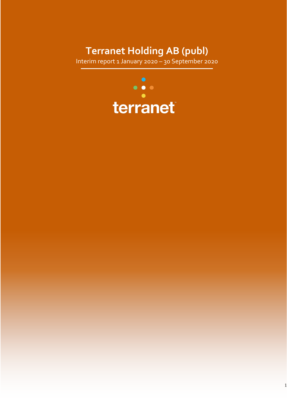# **Terranet Holding AB (publ)**

Interim report 1 January 2020 – 30 September 2020

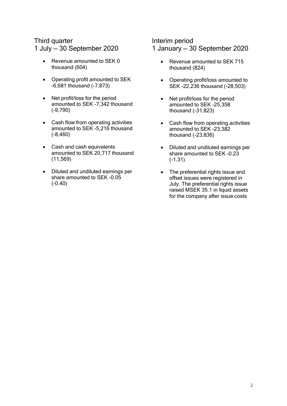## Third quarter

1 July — 30 September 2020

- Revenue amounted to SEK 0 thousand (604)
- Operating profit amounted to SEK -6,681 thousand (-7,873)
- Net profit/loss for the period amounted to SEK -7,342 thousand (-9,790)
- Cash flow from operating activities amounted to SEK -5,216 thousand (-8,460)
- Cash and cash equivalents amounted to SEK 20,717 thousand (11,569)
- Diluted and undiluted earnings per share amounted to SEK -0.05 (-0.40)

### Interim period 1 January — 30 September 2020

- Revenue amounted to SEK 715 thousand (824)
- Operating profit/loss amounted to SEK -22,236 thousand (-28,503)
- Net profit/loss for the period amounted to SEK -25,358 thousand (-31,823)
- Cash flow from operating activities amounted to SEK -23,382 thousand (-23,836)
- Diluted and undiluted earnings per share amounted to SEK -0.23 (-1.31)
- The preferential rights issue and offset issues were registered in July. The preferential rights issue raised MSEK 35.1 in liquid assets for the company after issue costs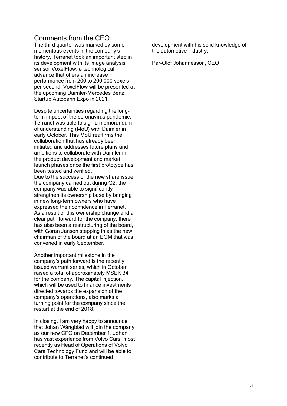### Comments from the CEO

The third quarter was marked by some momentous events in the company's history. Terranet took an important step in its development with its image analysis sensor VoxelFlow, a technological advance that offers an increase in performance from 200 to 200,000 voxels per second. VoxelFlow will be presented at the upcoming Daimler-Mercedes Benz Startup Autobahn Expo in 2021.

Despite uncertainties regarding the longterm impact of the coronavirus pandemic, Terranet was able to sign a memorandum of understanding (MoU) with Daimler in early October. This MoU reaffirms the collaboration that has already been initiated and addresses future plans and ambitions to collaborate with Daimler in the product development and market launch phases once the first prototype has been tested and verified. Due to the success of the new share issue the company carried out during Q2, the company was able to significantly strengthen its ownership base by bringing in new long-term owners who have expressed their confidence in Terranet. As a result of this ownership change and a clear path forward for the company, there has also been a restructuring of the board, with Göran Janson stepping in as the new chairman of the board at an EGM that was convened in early September.

Another important milestone in the company's path forward is the recently issued warrant series, which in October raised a total of approximately MSEK 34 for the company. The capital injection, which will be used to finance investments directed towards the expansion of the company's operations, also marks a turning point for the company since the restart at the end of 2018.

In closing, I am very happy to announce that Johan Wångblad will join the company as our new CFO on December 1. Johan has vast experience from Volvo Cars, most recently as Head of Operations of Volvo Cars Technology Fund and will be able to contribute to Terranet's continued

development with his solid knowledge of the automotive industry.

Pär-Olof Johannesson, CEO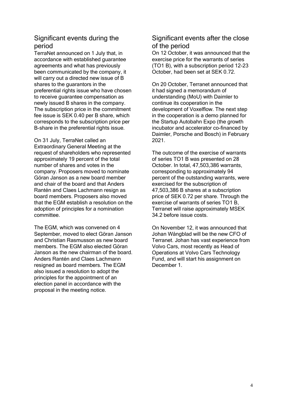## Significant events during the period

TerraNet announced on 1 July that, in accordance with established guarantee agreements and what has previously been communicated by the company, it will carry out a directed new issue of B shares to the guarantors in the preferential rights issue who have chosen to receive guarantee compensation as newly issued B shares in the company. The subscription price in the commitment fee issue is SEK 0.40 per B share, which corresponds to the subscription price per B-share in the preferential rights issue.

On 31 July, TerraNet called an Extraordinary General Meeting at the request of shareholders who represented approximately 19 percent of the total number of shares and votes in the company. Proposers moved to nominate Göran Janson as a new board member and chair of the board and that Anders Rantén and Claes Lachmann resign as board members. Proposers also moved that the EGM establish a resolution on the adoption of principles for a nomination committee.

The EGM, which was convened on 4 September, moved to elect Göran Janson and Christian Rasmusson as new board members. The EGM also elected Göran Janson as the new chairman of the board. Anders Rantén and Claes Lachmann resigned as board members. The EGM also issued a resolution to adopt the principles for the appointment of an election panel in accordance with the proposal in the meeting notice.

## Significant events after the close of the period

On 12 October, it was announced that the exercise price for the warrants of series (TO1 B), with a subscription period 12-23 October, had been set at SEK 0.72.

On 20 October, Terranet announced that it had signed a memorandum of understanding (MoU) with Daimler to continue its cooperation in the development of Voxelflow. The next step in the cooperation is a demo planned for the Startup Autobahn Expo (the growth incubator and accelerator co-financed by Daimler, Porsche and Bosch) in February 2021.

The outcome of the exercise of warrants of series TO1 B was presented on 28 October. In total, 47,503,386 warrants, corresponding to approximately 94 percent of the outstanding warrants, were exercised for the subscription of 47,503,386 B shares at a subscription price of SEK 0.72 per share. Through the exercise of warrants of series TO1 B, Terranet will raise approximately MSEK 34.2 before issue costs.

On November 12, it was announced that Johan Wångblad will be the new CFO of Terranet. Johan has vast experience from Volvo Cars, most recently as Head of Operations at Volvo Cars Technology Fund, and will start his assignment on December 1.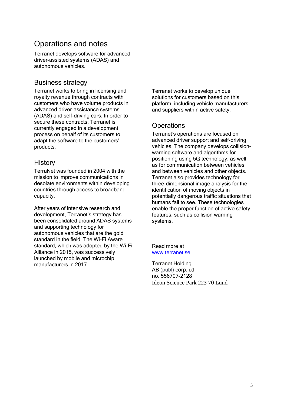## Operations and notes

Terranet develops software for advanced driver-assisted systems (ADAS) and autonomous vehicles.

### Business strategy

Terranet works to bring in licensing and royalty revenue through contracts with customers who have volume products in advanced driver-assistance systems (ADAS) and self-driving cars. In order to secure these contracts, Terranet is currently engaged in a development process on behalf of its customers to adapt the software to the customers' products.

### **History**

TerraNet was founded in 2004 with the mission to improve communications in desolate environments within developing countries through access to broadband capacity.

After years of intensive research and development, Terranet's strategy has been consolidated around ADAS systems and supporting technology for autonomous vehicles that are the gold standard in the field. The Wi-Fi Aware standard, which was adopted by the Wi-Fi Alliance in 2015, was successively launched by mobile and microchip manufacturers in 2017.

Terranet works to develop unique solutions for customers based on this platform, including vehicle manufacturers and suppliers within active safety.

## **Operations**

Terranet's operations are focused on advanced driver support and self-driving vehicles. The company develops collisionwarning software and algorithms for positioning using 5G technology, as well as for communication between vehicles and between vehicles and other objects. Terranet also provides technology for three-dimensional image analysis for the identification of moving objects in potentially dangerous traffic situations that humans fail to see. These technologies enable the proper function of active safety features, such as collision warning systems.

Read more at [www.terranet.se](http://www.terranet.se/)

Terranet Holding AB (publ) corp. i.d. no. 556707-2128 Ideon Science Park 223 70 Lund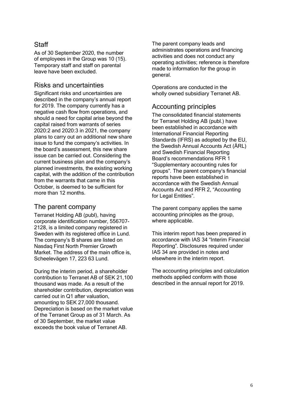## **Staff**

As of 30 September 2020, the number of employees in the Group was 10 (15). Temporary staff and staff on parental leave have been excluded.

### Risks and uncertainties

Significant risks and uncertainties are described in the company's annual report for 2019. The company currently has a negative cash flow from operations, and should a need for capital arise beyond the capital raised from warrants of series 2020:2 and 2020:3 in 2021, the company plans to carry out an additional new share issue to fund the company's activities. In the board's assessment, this new share issue can be carried out. Considering the current business plan and the company's planned investments, the existing working capital, with the addition of the contribution from the warrants that came in this October, is deemed to be sufficient for more than 12 months.

### The parent company

Terranet Holding AB (publ), having corporate identification number, 556707- 2128, is a limited company registered in Sweden with its registered office in Lund. The company's B shares are listed on Nasdaq First North Premier Growth Market. The address of the main office is, Scheelevägen 17, 223 63 Lund.

During the interim period, a shareholder contribution to Terranet AB of SEK 21,100 thousand was made. As a result of the shareholder contribution, depreciation was carried out in Q1 after valuation, amounting to SEK 27,000 thousand. Depreciation is based on the market value of the Terranet Group as of 31 March. As of 30 September, the market value exceeds the book value of Terranet AB.

The parent company leads and administrates operations and financing activities and does not conduct any operating activities; reference is therefore made to information for the group in general.

Operations are conducted in the wholly owned subsidiary Terranet AB.

## Accounting principles

The consolidated financial statements for Terranet Holding AB (publ.) have been established in accordance with International Financial Reporting Standards (IFRS) as adopted by the EU, the Swedish Annual Accounts Act (ÅRL) and Swedish Financial Reporting Board's recommendations RFR 1 "Supplementary accounting rules for groups". The parent company's financial reports have been established in accordance with the Swedish Annual Accounts Act and RFR 2, "Accounting for Legal Entities".

The parent company applies the same accounting principles as the group, where applicable.

This interim report has been prepared in accordance with IAS 34 "Interim Financial Reporting". Disclosures required under IAS 34 are provided in notes and elsewhere in the interim report.

The accounting principles and calculation methods applied conform with those described in the annual report for 2019.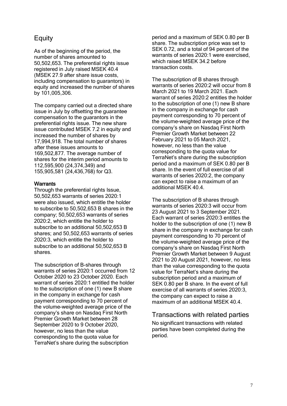## **Equity**

As of the beginning of the period, the number of shares amounted to 50,502,653. The preferential rights issue registered in July raised MSEK 40.4 (MSEK 27.9 after share issue costs, including compensation to guarantors) in equity and increased the number of shares by 101,005,306.

The company carried out a directed share issue in July by offsetting the guarantee compensation to the guarantors in the preferential rights issue. The new share issue contributed MSEK 7.2 in equity and increased the number of shares by 17,994,918. The total number of shares after these issues amounts to 169,502,877. The average number of shares for the interim period amounts to 112,595,900 (24,374,349) and 155,905,581 (24,436,768) for Q3.

#### **Warrants**

Through the preferential rights Issue, 50,502,653 warrants of series 2020:1 were also issued, which entitle the holder to subscribe to 50,502,653 B shares in the company; 50,502,653 warrants of series 2020:2, which entitle the holder to subscribe to an additional 50,502,653 B shares; and 50,502,653 warrants of series 2020:3, which entitle the holder to subscribe to an additional 50,502,653 B shares.

The subscription of B-shares through warrants of series 2020:1 occurred from 12 October 2020 to 23 October 2020. Each warrant of series 2020:1 entitled the holder to the subscription of one (1) new B share in the company in exchange for cash payment corresponding to 70 percent of the volume-weighted average price of the company's share on Nasdaq First North Premier Growth Market between 28 September 2020 to 9 October 2020, however, no less than the value corresponding to the quota value for TerraNet's share during the subscription

period and a maximum of SEK 0.80 per B share. The subscription price was set to SEK 0.72, and a total of 94 percent of the warrants of series 2020:1 were exercised, which raised MSEK 34.2 before transaction costs.

The subscription of B shares through warrants of series 2020:2 will occur from 8 March 2021 to 19 March 2021. Each warrant of series 2020:2 entitles the holder to the subscription of one (1) new B share in the company in exchange for cash payment corresponding to 70 percent of the volume-weighted average price of the company's share on Nasdaq First North Premier Growth Market between 22 February 2021 to 05 March 2021, however, no less than the value corresponding to the quota value for TerraNet's share during the subscription period and a maximum of SEK 0.80 per B share. In the event of full exercise of all warrants of series 2020:2, the company can expect to raise a maximum of an additional MSEK 40.4.

The subscription of B shares through warrants of series 2020:3 will occur from 23 August 2021 to 3 September 2021. Each warrant of series 2020:3 entitles the holder to the subscription of one (1) new B share in the company in exchange for cash payment corresponding to 70 percent of the volume-weighted average price of the company's share on Nasdaq First North Premier Growth Market between 9 August 2021 to 20 August 2021, however, no less than the value corresponding to the quota value for TerraNet's share during the subscription period and a maximum of SEK 0.80 per B share. In the event of full exercise of all warrants of series 2020:3, the company can expect to raise a maximum of an additional MSEK 40.4.

### Transactions with related parties

No significant transactions with related parties have been completed during the period.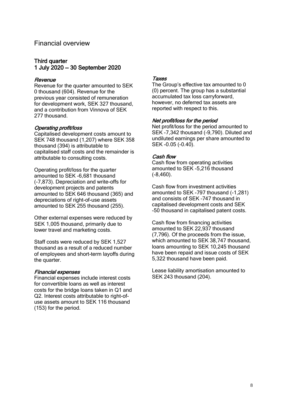### Financial overview

#### Third quarter 1 July 2020 — 30 September 2020

#### **Revenue**

Revenue for the quarter amounted to SEK 0 thousand (604). Revenue for the previous year consisted of remuneration for development work, SEK 327 thousand, and a contribution from Vinnova of SEK 277 thousand.

#### Operating profit/loss

Capitalised development costs amount to SEK 748 thousand (1,207) where SEK 358 thousand (394) is attributable to capitalised staff costs and the remainder is attributable to consulting costs.

Operating profit/loss for the quarter amounted to SEK -6,681 thousand (-7,873). Depreciation and write-offs for development projects and patents amounted to SEK 646 thousand (365) and depreciations of right-of-use assets amounted to SEK 255 thousand (255).

Other external expenses were reduced by SEK 1,005 thousand, primarily due to lower travel and marketing costs.

Staff costs were reduced by SEK 1,527 thousand as a result of a reduced number of employees and short-term layoffs during the quarter.

#### Financial expenses

Financial expenses include interest costs for convertible loans as well as interest costs for the bridge loans taken in Q1 and Q2. Interest costs attributable to right-ofuse assets amount to SEK 116 thousand (153) for the period.

#### **Taxes**

The Group's effective tax amounted to 0 (0) percent. The group has a substantial accumulated tax loss carryforward, however, no deferred tax assets are reported with respect to this.

#### Net profit/loss for the period

Net profit/loss for the period amounted to SEK -7,342 thousand (-9,790). Diluted and undiluted earnings per share amounted to SEK -0.05 (-0.40).

#### Cash flow

Cash flow from operating activities amounted to SEK -5,216 thousand (-8,460).

Cash flow from investment activities amounted to SEK -797 thousand (-1,281) and consists of SEK –747 thousand in capitalised development costs and SEK -50 thousand in capitalised patent costs.

Cash flow from financing activities amounted to SEK 22,937 thousand (7,796). Of the proceeds from the issue, which amounted to SEK 38,747 thousand. loans amounting to SEK 10,245 thousand have been repaid and issue costs of SEK 5,322 thousand have been paid.

Lease liability amortisation amounted to SEK 243 thousand (204).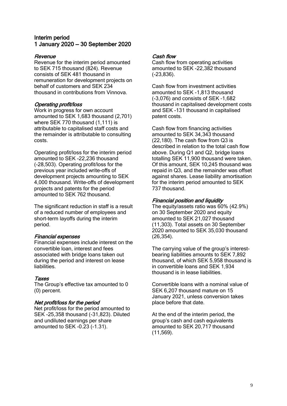#### Interim period 1 January 2020 — 30 September 2020

#### Revenue

Revenue for the interim period amounted to SEK 715 thousand (824). Revenue consists of SEK 481 thousand in remuneration for development projects on behalf of customers and SEK 234 thousand in contributions from Vinnova.

#### Operating profit/loss

Work in progress for own account amounted to SEK 1,683 thousand (2,701) where SEK 770 thousand (1,111) is attributable to capitalised staff costs and the remainder is attributable to consulting costs.

Operating profit/loss for the interim period amounted to SEK -22,236 thousand (-28,503). Operating profit/loss for the previous year included write-offs of development projects amounting to SEK 4,000 thousand. Write-offs of development projects and patents for the period amounted to SEK 762 thousand.

The significant reduction in staff is a result of a reduced number of employees and short-term layoffs during the interim period.

#### Financial expenses

Financial expenses include interest on the convertible loan, interest and fees associated with bridge loans taken out during the period and interest on lease liabilities.

#### Taxes

The Group's effective tax amounted to 0 (0) percent.

#### Net profit/loss for the period

Net profit/loss for the period amounted to SEK -25,358 thousand (-31,823). Diluted and undiluted earnings per share amounted to SEK -0.23 (-1.31).

#### Cash flow

Cash flow from operating activities amounted to SEK -22,382 thousand (-23,836).

Cash flow from investment activities amounted to SEK -1,813 thousand (-3,076) and consists of SEK –1,682 thousand in capitalised development costs and SEK -131 thousand in capitalised patent costs.

Cash flow from financing activities amounted to SEK 34,343 thousand (22,180). The cash flow from Q3 is described in relation to the total cash flow above. During Q1 and Q2, bridge loans totalling SEK 11,900 thousand were taken. Of this amount, SEK 10,245 thousand was repaid in Q3, and the remainder was offset against shares. Lease liability amortisation for the interim period amounted to SEK 737 thousand.

#### Financial position and liquidity

The equity/assets ratio was 60% (42.9%) on 30 September 2020 and equity amounted to SEK 21,027 thousand (11,303). Total assets on 30 September 2020 amounted to SEK 35,030 thousand (26,354).

The carrying value of the group's interestbearing liabilities amounts to SEK 7,892 thousand, of which SEK 5,958 thousand is in convertible loans and SEK 1,934 thousand is in lease liabilities.

Convertible loans with a nominal value of SEK 6,207 thousand mature on 15 January 2021, unless conversion takes place before that date.

At the end of the interim period, the group's cash and cash equivalents amounted to SEK 20,717 thousand (11,569).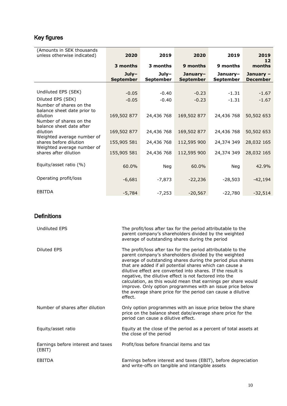## Key figures

| (Amounts in SEK thousands<br>unless otherwise indicated) | 2020                        | 2019                        | 2020                         | 2019                         | 2019<br>12                   |
|----------------------------------------------------------|-----------------------------|-----------------------------|------------------------------|------------------------------|------------------------------|
|                                                          | 3 months                    | 3 months                    | 9 months                     | 9 months                     | months                       |
|                                                          | $July-$<br><b>September</b> | $July-$<br><b>September</b> | January-<br><b>September</b> | January-<br><b>September</b> | January -<br><b>December</b> |
|                                                          |                             |                             |                              |                              |                              |
| Undiluted EPS (SEK)                                      | $-0.05$                     | $-0.40$                     | $-0.23$                      | $-1.31$                      | $-1.67$                      |
| Diluted EPS (SEK)                                        | $-0.05$                     | $-0.40$                     | $-0.23$                      | $-1.31$                      | $-1.67$                      |
| Number of shares on the<br>balance sheet date prior to   |                             |                             |                              |                              |                              |
| dilution<br>Number of shares on the                      | 169,502 877                 | 24,436 768                  | 169,502 877                  | 24,436 768                   | 50,502 653                   |
| balance sheet date after<br>dilution                     | 169,502 877                 | 24,436 768                  | 169,502 877                  | 24,436 768                   | 50,502 653                   |
| Weighted average number of<br>shares before dilution     | 155,905 581                 | 24,436 768                  | 112,595 900                  | 24,374 349                   | 28,032 165                   |
| Weighted average number of<br>shares after dilution      | 155,905 581                 | 24,436 768                  | 112,595 900                  | 24,374 349                   | 28,032 165                   |
| Equity/asset ratio (%)                                   | 60.0%                       | Neg                         | 60.0%                        | Neg                          | 42.9%                        |
| Operating profit/loss                                    | $-6,681$                    | $-7,873$                    | $-22,236$                    | $-28,503$                    | $-42,194$                    |
| <b>EBITDA</b>                                            | $-5,784$                    | $-7,253$                    | $-20,567$                    | $-22,780$                    | $-32,514$                    |

## **Definitions**

| <b>Undiluted EPS</b>                         | The profit/loss after tax for the period attributable to the<br>parent company's shareholders divided by the weighted<br>average of outstanding shares during the period                                                                                                                                                                                                                                                                                                                                                                                                          |
|----------------------------------------------|-----------------------------------------------------------------------------------------------------------------------------------------------------------------------------------------------------------------------------------------------------------------------------------------------------------------------------------------------------------------------------------------------------------------------------------------------------------------------------------------------------------------------------------------------------------------------------------|
| Diluted EPS                                  | The profit/loss after tax for the period attributable to the<br>parent company's shareholders divided by the weighted<br>average of outstanding shares during the period plus shares<br>that are added if all potential shares which can cause a<br>dilutive effect are converted into shares. If the result is<br>negative, the dilutive effect is not factored into the<br>calculation, as this would mean that earnings per share would<br>improve. Only option programmes with an issue price below<br>the average share price for the period can cause a dilutive<br>effect. |
| Number of shares after dilution              | Only option programmes with an issue price below the share<br>price on the balance sheet date/average share price for the<br>period can cause a dilutive effect.                                                                                                                                                                                                                                                                                                                                                                                                                  |
| Equity/asset ratio                           | Equity at the close of the period as a percent of total assets at<br>the close of the period                                                                                                                                                                                                                                                                                                                                                                                                                                                                                      |
| Earnings before interest and taxes<br>(EBIT) | Profit/loss before financial items and tax                                                                                                                                                                                                                                                                                                                                                                                                                                                                                                                                        |
| <b>EBITDA</b>                                | Earnings before interest and taxes (EBIT), before depreciation<br>and write-offs on tangible and intangible assets                                                                                                                                                                                                                                                                                                                                                                                                                                                                |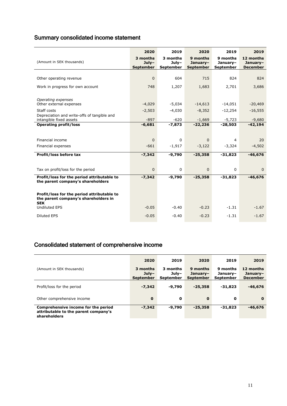## Summary consolidated income statement

|                                                                                                  | 2020                                    | 2019                             | 2020                                     | 2019                              | 2019                                     |
|--------------------------------------------------------------------------------------------------|-----------------------------------------|----------------------------------|------------------------------------------|-----------------------------------|------------------------------------------|
| (Amount in SEK thousands)                                                                        | 3 months<br>$July-$<br><b>September</b> | 3 months<br>$July-$<br>September | 9 months<br>January-<br><b>September</b> | 9 months<br>January-<br>September | 12 months<br>January-<br><b>December</b> |
|                                                                                                  |                                         |                                  |                                          |                                   |                                          |
| Other operating revenue                                                                          | $\mathbf{0}$                            | 604                              | 715                                      | 824                               | 824                                      |
| Work in progress for own account                                                                 | 748                                     | 1,207                            | 1,683                                    | 2,701                             | 3,686                                    |
|                                                                                                  |                                         |                                  |                                          |                                   |                                          |
| Operating expenses                                                                               |                                         |                                  |                                          |                                   |                                          |
| Other external expenses                                                                          | $-4,029$                                | $-5,034$                         | $-14,613$                                | $-14,051$                         | $-20,469$                                |
| Staff costs                                                                                      | $-2,503$                                | $-4,030$                         | $-8,352$                                 | $-12,254$                         | $-16,555$                                |
| Depreciation and write-offs of tangible and<br>intangible fixed assets                           | $-897$                                  | $-620$                           | $-1,669$                                 | $-5,723$                          | $-9,680$                                 |
| <b>Operating profit/loss</b>                                                                     | $-6,681$                                | $-7,873$                         | $-22,236$                                | $-28,503$                         | $-42,194$                                |
|                                                                                                  |                                         |                                  |                                          |                                   |                                          |
| Financial income                                                                                 | $\mathbf 0$                             | $\mathbf 0$                      | $\mathbf{0}$                             | $\overline{4}$                    | 20                                       |
| Financial expenses                                                                               | $-661$                                  | $-1,917$                         | $-3,122$                                 | $-3,324$                          | $-4,502$                                 |
|                                                                                                  |                                         |                                  |                                          |                                   |                                          |
| Profit/loss before tax                                                                           | $-7,342$                                | $-9,790$                         | $-25,358$                                | $-31,823$                         | $-46,676$                                |
|                                                                                                  |                                         |                                  |                                          |                                   |                                          |
| Tax on profit/loss for the period                                                                | $\mathbf{0}$                            | $\mathbf 0$                      | 0                                        | $\Omega$                          | $\mathbf{0}$                             |
| Profit/loss for the period attributable to                                                       | $-7,342$                                | $-9,790$                         | $-25,358$                                | $-31,823$                         | $-46,676$                                |
| the parent company's shareholders                                                                |                                         |                                  |                                          |                                   |                                          |
|                                                                                                  |                                         |                                  |                                          |                                   |                                          |
| Profit/loss for the period attributable to<br>the parent company's shareholders in<br><b>SEK</b> |                                         |                                  |                                          |                                   |                                          |
| <b>Undiluted EPS</b>                                                                             | $-0.05$                                 | $-0.40$                          | $-0.23$                                  | $-1.31$                           | $-1.67$                                  |
| <b>Diluted EPS</b>                                                                               | $-0.05$                                 | $-0.40$                          | $-0.23$                                  | $-1.31$                           | $-1.67$                                  |

## Consolidated statement of comprehensive income

|                                                                                             | 2020                                    | 2019                                  | 2020                                     | 2019                                     | 2019                                     |
|---------------------------------------------------------------------------------------------|-----------------------------------------|---------------------------------------|------------------------------------------|------------------------------------------|------------------------------------------|
| (Amount in SEK thousands)                                                                   | 3 months<br>$Julv-$<br><b>September</b> | 3 months<br>July-<br><b>September</b> | 9 months<br>January-<br><b>September</b> | 9 months<br>Januarv-<br><b>September</b> | 12 months<br>January-<br><b>December</b> |
| Profit/loss for the period                                                                  | $-7,342$                                | $-9.790$                              | $-25,358$                                | $-31.823$                                | $-46,676$                                |
| Other comprehensive income                                                                  | $\mathbf 0$                             | 0                                     | $\mathbf{o}$                             | $\mathbf{o}$                             | $\Omega$                                 |
| Comprehensive income for the period<br>attributable to the parent company's<br>shareholders | $-7,342$                                | $-9.790$                              | $-25,358$                                | $-31.823$                                | $-46,676$                                |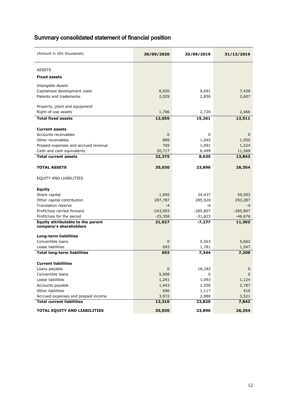## Summary consolidated statement of financial position

| (Amount in SEK thousands)            | 30/09/2020   | 30/09/2019 | 31/12/2019   |
|--------------------------------------|--------------|------------|--------------|
| <b>ASSETS</b>                        |              |            |              |
| <b>Fixed assets</b>                  |              |            |              |
| Intangible Assets                    |              |            |              |
| Capitalised development costs        | 8,920        | 9,691      | 7,438        |
| Patents and trademarks               | 2,029        | 2,850      | 2,607        |
| Property, plant and equipment        |              |            |              |
| Right-of-use assets                  | 1,706        | 2,720      | 2,466        |
|                                      |              |            |              |
| <b>Total fixed assets</b>            | 12,655       | 15,261     | 12,511       |
| <b>Current assets</b>                |              |            |              |
| Accounts receivables                 | $\mathbf{0}$ | 0          | $\mathbf{0}$ |
| Other receivables                    | 889          | 1,045      | 1,050        |
| Prepaid expenses and accrued revenue | 769          | 1,091      | 1,224        |
| Cash and cash equivalents            | 20,717       | 6,499      | 11,569       |
| <b>Total current assets</b>          | 22,375       | 8,635      | 13,843       |
| <b>TOTAL ASSETS</b>                  | 35,030       | 23,896     | 26,354       |
| EQUITY AND LIABILITIES               |              |            |              |
| <b>Equity</b>                        |              |            |              |
| Share capital                        | 1,695        | 24,437     | 50,503       |
| Other capital contribution           | 287,787      | 285,920    | 293,287      |
| <b>Translation reserve</b>           | $-4$         | -4         | $-4$         |
| Profit/loss carried forward          | $-243,093$   | $-285,807$ | $-285,807$   |
| Profit/loss for the period           | $-25,358$    | $-31,823$  | $-46,676$    |
| Equity attributable to the parent    | 21,027       | -7,277     | 11,303       |
| company's shareholders               |              |            |              |
| <b>Long-term liabilities</b>         |              |            |              |
| Convertible loans                    | $\mathbf 0$  | 5,563      | 5,662        |
| Lease liabilities                    | 693          | 1,781      | 1,547        |
| <b>Total long-term liabilities</b>   | 693          | 7,344      | 7,209        |
| <b>Current liabilities</b>           |              |            |              |
| Loans payable                        | 0            | 16,183     | 0            |
| Convertible loans                    | 5,958        | 0          | $\mathbf 0$  |
| Lease liabilities                    | 1,241        | 1,093      | 1,124        |
| Accounts payable                     | 1,443        | 2,556      | 2,787        |
| Other liabilities                    | 696          | 1,117      | 410          |
| Accrued expenses and prepaid income  | 3,972        | 2,880      | 3,521        |
| <b>Total current liabilities</b>     | 13,310       | 23,829     | 7,842        |
| TOTAL EQUITY AND LIABILITIES         | 35,030       | 23,896     | 26,354       |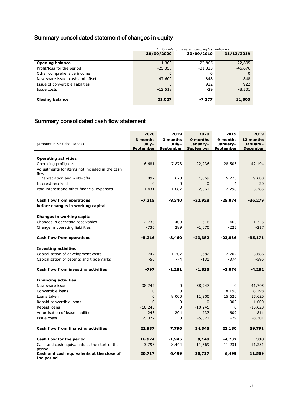## Summary consolidated statement of changes in equity

|                                   | Attributable to the parent company's shareholders |            |            |  |  |  |
|-----------------------------------|---------------------------------------------------|------------|------------|--|--|--|
|                                   | 30/09/2020                                        | 30/09/2019 | 31/12/2019 |  |  |  |
| <b>Opening balance</b>            | 11,303                                            | 22,805     | 22,805     |  |  |  |
| Profit/loss for the period        | $-25,358$                                         | $-31,823$  | $-46,676$  |  |  |  |
| Other comprehensive income        | 0                                                 | 0          | 0          |  |  |  |
| New share issue, cash and offsets | 47,600                                            | 848        | 848        |  |  |  |
| Issue of convertible liabilities  | 0                                                 | 922        | 922        |  |  |  |
| Issue costs                       | $-12,518$                                         | $-29$      | $-8,301$   |  |  |  |
| <b>Closing balance</b>            | 21,027                                            | -7,277     | 11,303     |  |  |  |

## Summary consolidated cash flow statement

| (Amount in SEK thousands)                               | 2020<br>3 months<br>$July-$<br><b>September</b> | 2019<br>3 months<br>July-<br><b>September</b> | 2020<br>9 months<br>January-<br><b>September</b> | 2019<br>9 months<br>January-<br><b>September</b> | 2019<br>12 months<br>January-<br><b>December</b> |
|---------------------------------------------------------|-------------------------------------------------|-----------------------------------------------|--------------------------------------------------|--------------------------------------------------|--------------------------------------------------|
|                                                         |                                                 |                                               |                                                  |                                                  |                                                  |
| <b>Operating activities</b>                             |                                                 |                                               |                                                  |                                                  |                                                  |
| Operating profit/loss                                   | $-6,681$                                        | $-7,873$                                      | $-22,236$                                        | $-28,503$                                        | $-42,194$                                        |
| Adjustments for items not included in the cash<br>flow: |                                                 |                                               |                                                  |                                                  |                                                  |
| Depreciation and write-offs                             | 897                                             | 620                                           | 1,669                                            | 5,723                                            | 9,680                                            |
| Interest received                                       | $\mathbf{0}$                                    | 0                                             | 0                                                | 4                                                | 20                                               |
| Paid interest and other financial expenses              | $-1,431$                                        | $-1,087$                                      | $-2,361$                                         | $-2,298$                                         | $-3,785$                                         |
|                                                         |                                                 |                                               |                                                  |                                                  |                                                  |
| <b>Cash flow from operations</b>                        | $-7,215$                                        | $-8,340$                                      | $-22,928$                                        | $-25,074$                                        | $-36,279$                                        |
| before changes in working capital                       |                                                 |                                               |                                                  |                                                  |                                                  |
|                                                         |                                                 |                                               |                                                  |                                                  |                                                  |
| Changes in working capital                              |                                                 |                                               |                                                  |                                                  |                                                  |
| Changes in operating receivables                        | 2,735                                           | $-409$                                        | 616                                              | 1,463                                            | 1,325                                            |
| Change in operating liabilities                         | $-736$                                          | 289                                           | $-1,070$                                         | $-225$                                           | $-217$                                           |
| <b>Cash flow from operations</b>                        | $-5,216$                                        | $-8,460$                                      | $-23,382$                                        | $-23,836$                                        | $-35,171$                                        |
|                                                         |                                                 |                                               |                                                  |                                                  |                                                  |
| <b>Investing activities</b>                             |                                                 |                                               |                                                  |                                                  |                                                  |
| Capitalisation of development costs                     | $-747$                                          | $-1,207$                                      | $-1,682$                                         | $-2,702$                                         | $-3,686$                                         |
| Capitalisation of patents and trademarks                | $-50$                                           | $-74$                                         | $-131$                                           | $-374$                                           | $-596$                                           |
|                                                         |                                                 |                                               |                                                  |                                                  |                                                  |
| Cash flow from investing activities                     | $-797$                                          | $-1,281$                                      | $-1,813$                                         | $-3,076$                                         | $-4,282$                                         |
| <b>Financing activities</b>                             |                                                 |                                               |                                                  |                                                  |                                                  |
| New share issue                                         | 38,747                                          | 0                                             | 38,747                                           | $\Omega$                                         | 41,705                                           |
| Convertible loans                                       | $\mathbf 0$                                     | $\Omega$                                      | 0                                                | 8,198                                            | 8,198                                            |
| Loans taken                                             | $\mathbf 0$                                     | 8,000                                         | 11,900                                           | 15,620                                           | 15,620                                           |
| Repaid convertible loans                                | $\Omega$                                        | 0                                             | $\Omega$                                         | $-1,000$                                         | $-1,000$                                         |
| Repaid loans                                            | $-10,245$                                       | $\Omega$                                      | $-10,245$                                        | 0                                                | $-15,620$                                        |
| Amortisation of lease liabilities                       | $-243$                                          | $-204$                                        | $-737$                                           | $-609$                                           | $-811$                                           |
| Issue costs                                             | $-5,322$                                        | 0                                             | $-5,322$                                         | $-29$                                            | $-8,301$                                         |
|                                                         |                                                 |                                               |                                                  |                                                  |                                                  |
| Cash flow from financing activities                     | 22,937                                          | 7,796                                         | 34,343                                           | 22,180                                           | 39,791                                           |
| Cash flow for the period                                | 16,924                                          | $-1,945$                                      | 9,148                                            | -4,732                                           | 338                                              |
| Cash and cash equivalents at the start of the           | 3,793                                           | 8,444                                         | 11,569                                           | 11,231                                           | 11,231                                           |
| period                                                  |                                                 |                                               |                                                  |                                                  |                                                  |
| Cash and cash equivalents at the close of<br>the period | 20,717                                          | 6,499                                         | 20,717                                           | 6,499                                            | 11,569                                           |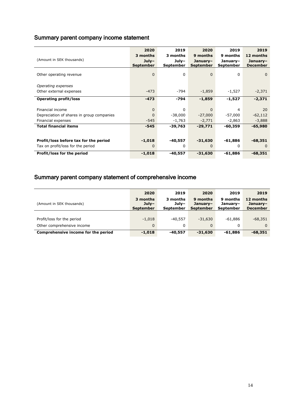## Summary parent company income statement

|                                           | 2020                 | 2019              | 2020                         | 2019                  | 2019                        |
|-------------------------------------------|----------------------|-------------------|------------------------------|-----------------------|-----------------------------|
| (Amount in SEK thousands)                 | 3 months             | 3 months<br>July- | 9 months                     | 9 months              | 12 months                   |
|                                           | $July-$<br>September | <b>September</b>  | January-<br><b>September</b> | January-<br>September | January-<br><b>December</b> |
|                                           |                      |                   |                              |                       |                             |
| Other operating revenue                   | $\Omega$             | 0                 | $\mathbf 0$                  | 0                     | $\Omega$                    |
| Operating expenses                        |                      |                   |                              |                       |                             |
| Other external expenses                   | $-473$               | $-794$            | $-1,859$                     | $-1,527$              | $-2,371$                    |
| <b>Operating profit/loss</b>              | $-473$               | -794              | $-1,859$                     | $-1,527$              | $-2,371$                    |
|                                           |                      |                   |                              |                       |                             |
| Financial income                          | $\Omega$             | $\Omega$          | $\Omega$                     | $\overline{4}$        | 20                          |
| Depreciation of shares in group companies | 0                    | $-38,000$         | $-27,000$                    | $-57,000$             | $-62,112$                   |
| Financial expenses                        | $-545$               | -1,763            | $-2,771$                     | -2,863                | $-3,888$                    |
| <b>Total financial items</b>              | $-545$               | $-39,763$         | $-29.771$                    | $-60.359$             | $-65,980$                   |
|                                           |                      |                   |                              |                       |                             |
| Profit/loss before tax for the period     | $-1,018$             | $-40,557$         | $-31,630$                    | $-61,886$             | $-68,351$                   |
| Tax on profit/loss for the period         | 0                    | 0                 | $\Omega$                     | 0                     | $\Omega$                    |
| Profit/loss for the period                | $-1,018$             | -40,557           | $-31,630$                    | $-61,886$             | -68,351                     |

## Summary parent company statement of comprehensive income

|                                     | 2020                             | 2019                           | 2020                                     | 2019                              | 2019                                     |
|-------------------------------------|----------------------------------|--------------------------------|------------------------------------------|-----------------------------------|------------------------------------------|
| (Amount in SEK thousands)           | 3 months<br>$Julv-$<br>September | 3 months<br>July-<br>September | 9 months<br>Januarv-<br><b>September</b> | 9 months<br>January-<br>September | 12 months<br>January-<br><b>December</b> |
|                                     |                                  |                                |                                          |                                   |                                          |
| Profit/loss for the period          | $-1,018$                         | $-40.557$                      | $-31,630$                                | $-61.886$                         | $-68,351$                                |
| Other comprehensive income          | $\mathbf{0}$                     | 0                              | $\Omega$                                 | 0                                 | $\Omega$                                 |
| Comprehensive income for the period | $-1,018$                         | -40,557                        | $-31,630$                                | -61,886                           | $-68,351$                                |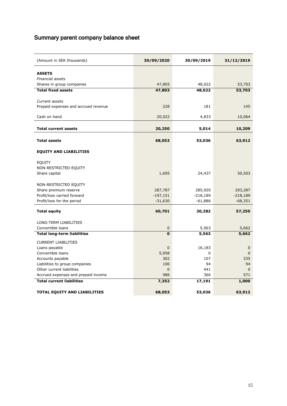## Summary parent company balance sheet

| (Amount in SEK thousands)                                               | 30/09/2020       | 30/09/2019     | 31/12/2019         |
|-------------------------------------------------------------------------|------------------|----------------|--------------------|
| <b>ASSETS</b>                                                           |                  |                |                    |
| Financial assets                                                        |                  |                |                    |
| Shares in group companies                                               | 47,803           | 48,022         | 53,703             |
| <b>Total fixed assets</b>                                               | 47,803           | 48,022         | 53,703             |
|                                                                         |                  |                |                    |
| Current assets                                                          |                  |                |                    |
| Prepaid expenses and accrued revenue                                    | 228              | 181            | 145                |
|                                                                         |                  |                |                    |
| Cash on hand                                                            | 20,022           | 4,833          | 10,064             |
| <b>Total current assets</b>                                             | 20,250           | 5,014          | 10,209             |
| <b>Total assets</b>                                                     | 68,053           | 53,036         | 63,912             |
| <b>EQUITY AND LIABILITIES</b>                                           |                  |                |                    |
|                                                                         |                  |                |                    |
| <b>EQUITY</b><br>NON-RESTRICTED EQUITY                                  |                  |                |                    |
| Share capital                                                           | 1,695            | 24,437         | 50,503             |
|                                                                         |                  |                |                    |
| NON-RESTRICTED EQUITY                                                   |                  |                |                    |
| Share premium reserve                                                   | 287,787          | 285,920        | 293,287            |
| Profit/loss carried forward                                             | $-197,151$       | $-218,189$     | $-218,189$         |
| Profit/loss for the period                                              | $-31,630$        | $-61,886$      | $-68,351$          |
| <b>Total equity</b>                                                     | 60,701           | 30,282         | 57,250             |
|                                                                         |                  |                |                    |
| LONG-TERM LIABILITIES<br>Convertible loans                              |                  |                |                    |
| <b>Total long-term liabilities</b>                                      | 0<br>$\mathbf 0$ | 5,563<br>5,563 | 5,662<br>5,662     |
|                                                                         |                  |                |                    |
| <b>CURRENT LIABILITIES</b>                                              |                  |                |                    |
| Loans payable                                                           | 0                | 16,183         | $\mathbf{0}$       |
| Convertible loans                                                       | 5,958            | 0              | $\Omega$           |
| Accounts payable                                                        | 302              | 107            | 335                |
| Liabilities to group companies                                          | 106              | 94             | 94                 |
| Other current liabilities                                               | 0<br>986         | 441<br>366     | $\mathbf 0$<br>571 |
| Accrued expenses and prepaid income<br><b>Total current liabilities</b> | 7,352            |                | 1,000              |
|                                                                         |                  | 17,191         |                    |
| <b>TOTAL EQUITY AND LIABILITIES</b>                                     | 68,053           | 53,036         | 63,912             |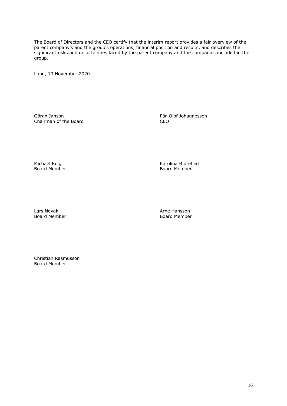The Board of Directors and the CEO certify that the interim report provides a fair overview of the parent company's and the group's operations, financial position and results, and describes the significant risks and uncertainties faced by the parent company and the companies included in the group.

Lund, 13 November 2020

Göran Janson<br>
Chairman of the Board<br>
CEO CO Chairman of the Board

Board Member

Michael Roig National School (Karolina Bjurehed Roard Member)<br>Board Member National School (Karolina Board Member)

Lars Novak **Arne Hansson** Board Member **Board Member** Board Member

Christian Rasmusson Board Member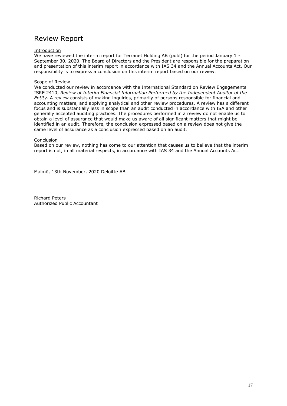## Review Report

#### **Introduction**

We have reviewed the interim report for Terranet Holding AB (publ) for the period January 1 -September 30, 2020. The Board of Directors and the President are responsible for the preparation and presentation of this interim report in accordance with IAS 34 and the Annual Accounts Act. Our responsibility is to express a conclusion on this interim report based on our review.

#### Scope of Review

We conducted our review in accordance with the International Standard on Review Engagements ISRE 2410, *Review of Interim Financial Information Performed by the Independent Auditor of the Entity*. A review consists of making inquiries, primarily of persons responsible for financial and accounting matters, and applying analytical and other review procedures. A review has a different focus and is substantially less in scope than an audit conducted in accordance with ISA and other generally accepted auditing practices. The procedures performed in a review do not enable us to obtain a level of assurance that would make us aware of all significant matters that might be identified in an audit. Therefore, the conclusion expressed based on a review does not give the same level of assurance as a conclusion expressed based on an audit.

#### Conclusion

Based on our review, nothing has come to our attention that causes us to believe that the interim report is not, in all material respects, in accordance with IAS 34 and the Annual Accounts Act.

Malmö, 13th November, 2020 Deloitte AB

Richard Peters Authorized Public Accountant